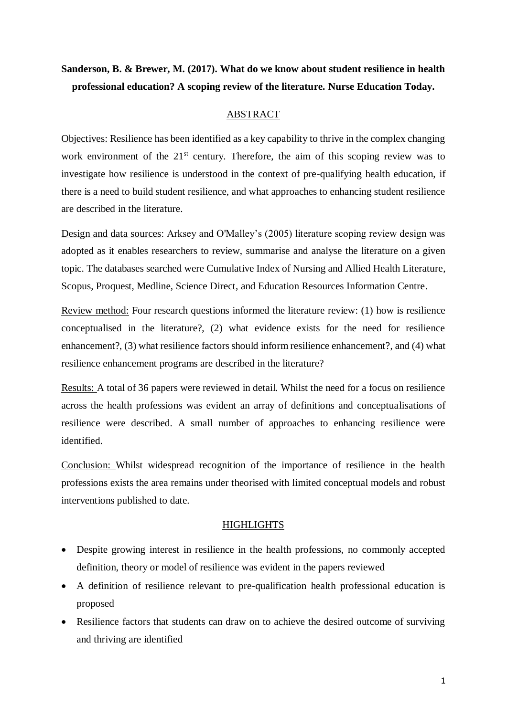# **Sanderson, B. & Brewer, M. (2017). What do we know about student resilience in health professional education? A scoping review of the literature. Nurse Education Today.**

## ABSTRACT

Objectives: Resilience has been identified as a key capability to thrive in the complex changing work environment of the  $21<sup>st</sup>$  century. Therefore, the aim of this scoping review was to investigate how resilience is understood in the context of pre-qualifying health education, if there is a need to build student resilience, and what approaches to enhancing student resilience are described in the literature.

Design and data sources: Arksey and O'Malley's (2005) literature scoping review design was adopted as it enables researchers to review, summarise and analyse the literature on a given topic. The databases searched were Cumulative Index of Nursing and Allied Health Literature, Scopus, Proquest, Medline, Science Direct, and Education Resources Information Centre.

Review method: Four research questions informed the literature review: (1) how is resilience conceptualised in the literature?, (2) what evidence exists for the need for resilience enhancement?, (3) what resilience factors should inform resilience enhancement?, and (4) what resilience enhancement programs are described in the literature?

Results: A total of 36 papers were reviewed in detail. Whilst the need for a focus on resilience across the health professions was evident an array of definitions and conceptualisations of resilience were described. A small number of approaches to enhancing resilience were identified.

Conclusion: Whilst widespread recognition of the importance of resilience in the health professions exists the area remains under theorised with limited conceptual models and robust interventions published to date.

## **HIGHLIGHTS**

- Despite growing interest in resilience in the health professions, no commonly accepted definition, theory or model of resilience was evident in the papers reviewed
- A definition of resilience relevant to pre-qualification health professional education is proposed
- Resilience factors that students can draw on to achieve the desired outcome of surviving and thriving are identified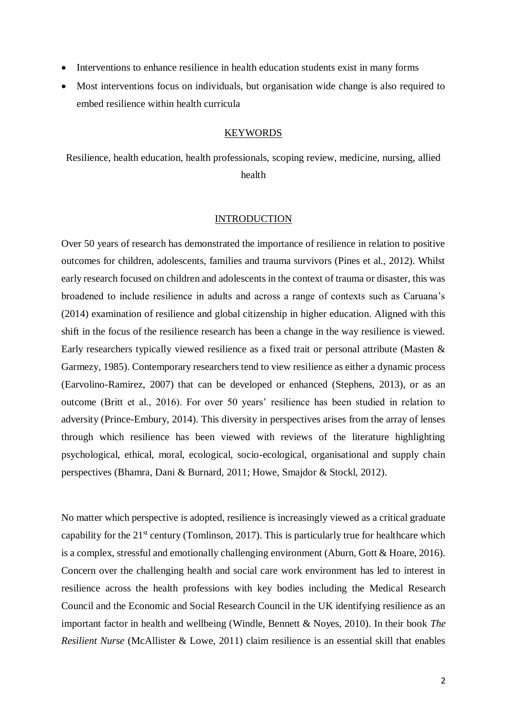- Interventions to enhance resilience in health education students exist in many forms
- Most interventions focus on individuals, but organisation wide change is also required to embed resilience within health curricula

## **KEYWORDS**

Resilience, health education, health professionals, scoping review, medicine, nursing, allied health

## INTRODUCTION

Over 50 years of research has demonstrated the importance of resilience in relation to positive outcomes for children, adolescents, families and trauma survivors (Pines et al., 2012). Whilst early research focused on children and adolescents in the context of trauma or disaster, this was broadened to include resilience in adults and across a range of contexts such as Caruana's (2014) examination of resilience and global citizenship in higher education. Aligned with this shift in the focus of the resilience research has been a change in the way resilience is viewed. Early researchers typically viewed resilience as a fixed trait or personal attribute (Masten & Garmezy, 1985). Contemporary researchers tend to view resilience as either a dynamic process (Earvolino-Ramirez, 2007) that can be developed or enhanced (Stephens, 2013), or as an outcome (Britt et al., 2016). For over 50 years' resilience has been studied in relation to adversity (Prince-Embury, 2014). This diversity in perspectives arises from the array of lenses through which resilience has been viewed with reviews of the literature highlighting psychological, ethical, moral, ecological, socio-ecological, organisational and supply chain perspectives (Bhamra, Dani & Burnard, 2011; Howe, Smajdor & Stockl, 2012).

No matter which perspective is adopted, resilience is increasingly viewed as a critical graduate capability for the  $21<sup>st</sup>$  century (Tomlinson, 2017). This is particularly true for healthcare which is a complex, stressful and emotionally challenging environment (Aburn, Gott & Hoare, 2016). Concern over the challenging health and social care work environment has led to interest in resilience across the health professions with key bodies including the Medical Research Council and the Economic and Social Research Council in the UK identifying resilience as an important factor in health and wellbeing (Windle, Bennett & Noyes, 2010). In their book *The Resilient Nurse* (McAllister & Lowe, 2011) claim resilience is an essential skill that enables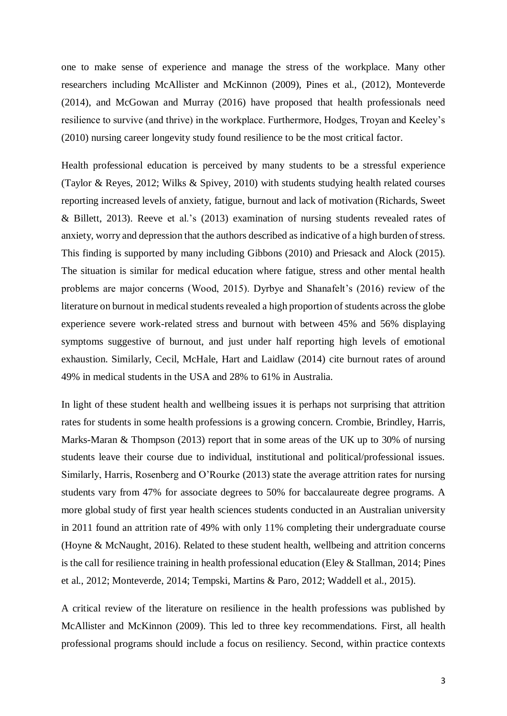one to make sense of experience and manage the stress of the workplace. Many other researchers including McAllister and McKinnon (2009), Pines et al., (2012), Monteverde (2014), and McGowan and Murray (2016) have proposed that health professionals need resilience to survive (and thrive) in the workplace. Furthermore, Hodges, Troyan and Keeley's (2010) nursing career longevity study found resilience to be the most critical factor.

Health professional education is perceived by many students to be a stressful experience (Taylor & Reyes, 2012; Wilks & Spivey, 2010) with students studying health related courses reporting increased levels of anxiety, fatigue, burnout and lack of motivation (Richards, Sweet & Billett, 2013). Reeve et al.'s (2013) examination of nursing students revealed rates of anxiety, worry and depression that the authors described as indicative of a high burden of stress. This finding is supported by many including Gibbons (2010) and Priesack and Alock (2015). The situation is similar for medical education where fatigue, stress and other mental health problems are major concerns (Wood, 2015). Dyrbye and Shanafelt's (2016) review of the literature on burnout in medical students revealed a high proportion of students across the globe experience severe work-related stress and burnout with between 45% and 56% displaying symptoms suggestive of burnout, and just under half reporting high levels of emotional exhaustion. Similarly, Cecil, McHale, Hart and Laidlaw (2014) cite burnout rates of around 49% in medical students in the USA and 28% to 61% in Australia.

In light of these student health and wellbeing issues it is perhaps not surprising that attrition rates for students in some health professions is a growing concern. Crombie, Brindley, Harris, Marks-Maran & Thompson (2013) report that in some areas of the UK up to 30% of nursing students leave their course due to individual, institutional and political/professional issues. Similarly, Harris, Rosenberg and O'Rourke (2013) state the average attrition rates for nursing students vary from 47% for associate degrees to 50% for baccalaureate degree programs. A more global study of first year health sciences students conducted in an Australian university in 2011 found an attrition rate of 49% with only 11% completing their undergraduate course (Hoyne & McNaught, 2016). Related to these student health, wellbeing and attrition concerns is the call for resilience training in health professional education (Eley & Stallman, 2014; Pines et al., 2012; Monteverde, 2014; Tempski, Martins & Paro, 2012; Waddell et al., 2015).

A critical review of the literature on resilience in the health professions was published by McAllister and McKinnon (2009). This led to three key recommendations. First, all health professional programs should include a focus on resiliency. Second, within practice contexts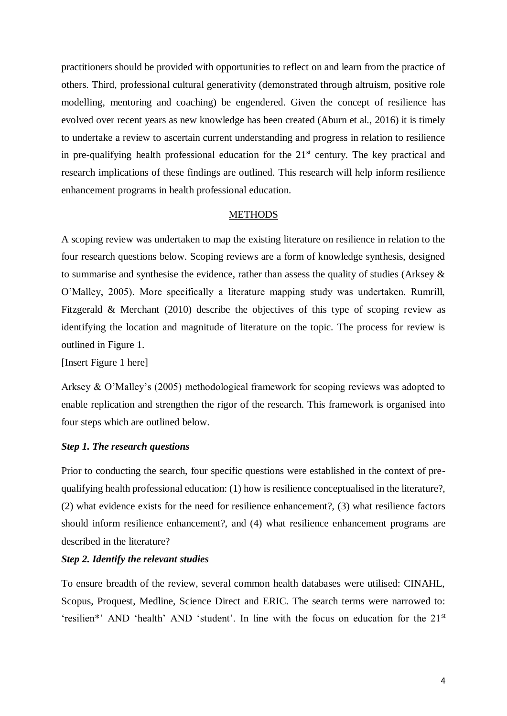practitioners should be provided with opportunities to reflect on and learn from the practice of others. Third, professional cultural generativity (demonstrated through altruism, positive role modelling, mentoring and coaching) be engendered. Given the concept of resilience has evolved over recent years as new knowledge has been created (Aburn et al., 2016) it is timely to undertake a review to ascertain current understanding and progress in relation to resilience in pre-qualifying health professional education for the  $21<sup>st</sup>$  century. The key practical and research implications of these findings are outlined. This research will help inform resilience enhancement programs in health professional education.

## **METHODS**

A scoping review was undertaken to map the existing literature on resilience in relation to the four research questions below. Scoping reviews are a form of knowledge synthesis, designed to summarise and synthesise the evidence, rather than assess the quality of studies (Arksey & O'Malley, 2005). More specifically a literature mapping study was undertaken. Rumrill, Fitzgerald & Merchant (2010) describe the objectives of this type of scoping review as identifying the location and magnitude of literature on the topic. The process for review is outlined in Figure 1.

[Insert Figure 1 here]

Arksey & O'Malley's (2005) methodological framework for scoping reviews was adopted to enable replication and strengthen the rigor of the research. This framework is organised into four steps which are outlined below.

## *Step 1. The research questions*

Prior to conducting the search, four specific questions were established in the context of prequalifying health professional education: (1) how is resilience conceptualised in the literature?, (2) what evidence exists for the need for resilience enhancement?, (3) what resilience factors should inform resilience enhancement?, and (4) what resilience enhancement programs are described in the literature?

## *Step 2. Identify the relevant studies*

To ensure breadth of the review, several common health databases were utilised: CINAHL, Scopus, Proquest, Medline, Science Direct and ERIC. The search terms were narrowed to: 'resilien\*' AND 'health' AND 'student'. In line with the focus on education for the 21<sup>st</sup>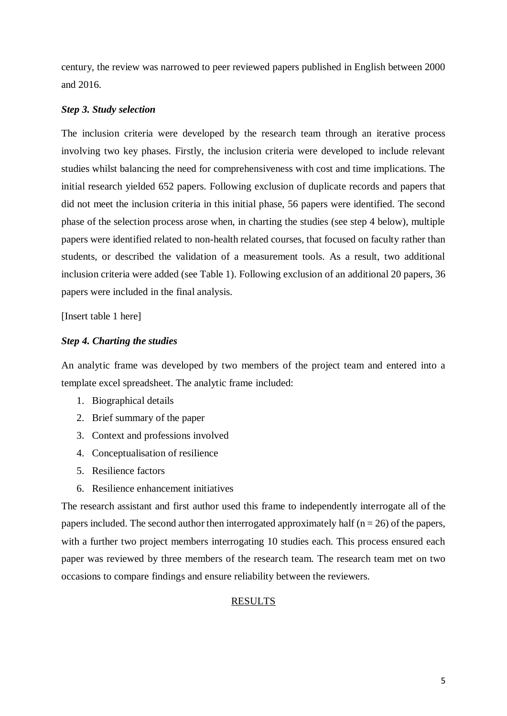century, the review was narrowed to peer reviewed papers published in English between 2000 and 2016.

## *Step 3. Study selection*

The inclusion criteria were developed by the research team through an iterative process involving two key phases. Firstly, the inclusion criteria were developed to include relevant studies whilst balancing the need for comprehensiveness with cost and time implications. The initial research yielded 652 papers. Following exclusion of duplicate records and papers that did not meet the inclusion criteria in this initial phase, 56 papers were identified. The second phase of the selection process arose when, in charting the studies (see step 4 below), multiple papers were identified related to non-health related courses, that focused on faculty rather than students, or described the validation of a measurement tools. As a result, two additional inclusion criteria were added (see Table 1). Following exclusion of an additional 20 papers, 36 papers were included in the final analysis.

[Insert table 1 here]

## *Step 4. Charting the studies*

An analytic frame was developed by two members of the project team and entered into a template excel spreadsheet. The analytic frame included:

- 1. Biographical details
- 2. Brief summary of the paper
- 3. Context and professions involved
- 4. Conceptualisation of resilience
- 5. Resilience factors
- 6. Resilience enhancement initiatives

The research assistant and first author used this frame to independently interrogate all of the papers included. The second author then interrogated approximately half ( $n = 26$ ) of the papers, with a further two project members interrogating 10 studies each. This process ensured each paper was reviewed by three members of the research team. The research team met on two occasions to compare findings and ensure reliability between the reviewers.

## RESULTS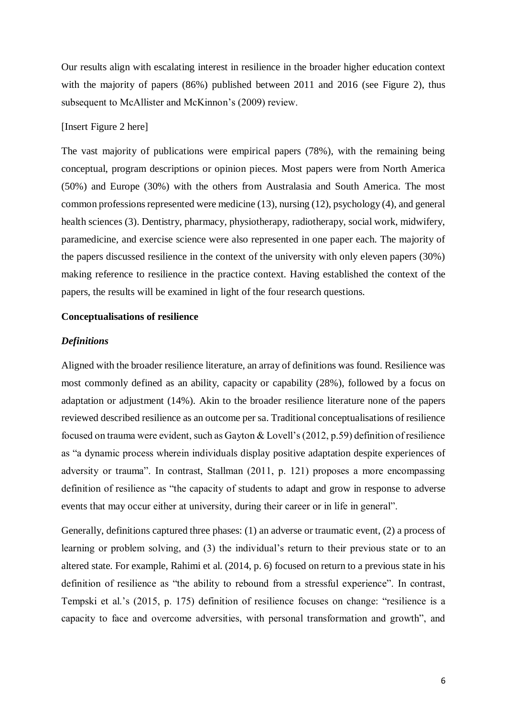Our results align with escalating interest in resilience in the broader higher education context with the majority of papers (86%) published between 2011 and 2016 (see Figure 2), thus subsequent to McAllister and McKinnon's (2009) review.

## [Insert Figure 2 here]

The vast majority of publications were empirical papers (78%), with the remaining being conceptual, program descriptions or opinion pieces. Most papers were from North America (50%) and Europe (30%) with the others from Australasia and South America. The most common professions represented were medicine (13), nursing (12), psychology (4), and general health sciences (3). Dentistry, pharmacy, physiotherapy, radiotherapy, social work, midwifery, paramedicine, and exercise science were also represented in one paper each. The majority of the papers discussed resilience in the context of the university with only eleven papers (30%) making reference to resilience in the practice context. Having established the context of the papers, the results will be examined in light of the four research questions.

### **Conceptualisations of resilience**

#### *Definitions*

Aligned with the broader resilience literature, an array of definitions was found. Resilience was most commonly defined as an ability, capacity or capability (28%), followed by a focus on adaptation or adjustment (14%). Akin to the broader resilience literature none of the papers reviewed described resilience as an outcome per sa. Traditional conceptualisations of resilience focused on trauma were evident, such as Gayton & Lovell's (2012, p.59) definition of resilience as "a dynamic process wherein individuals display positive adaptation despite experiences of adversity or trauma". In contrast, Stallman (2011, p. 121) proposes a more encompassing definition of resilience as "the capacity of students to adapt and grow in response to adverse events that may occur either at university, during their career or in life in general".

Generally, definitions captured three phases: (1) an adverse or traumatic event, (2) a process of learning or problem solving, and (3) the individual's return to their previous state or to an altered state. For example, Rahimi et al. (2014, p. 6) focused on return to a previous state in his definition of resilience as "the ability to rebound from a stressful experience". In contrast, Tempski et al.'s (2015, p. 175) definition of resilience focuses on change: "resilience is a capacity to face and overcome adversities, with personal transformation and growth", and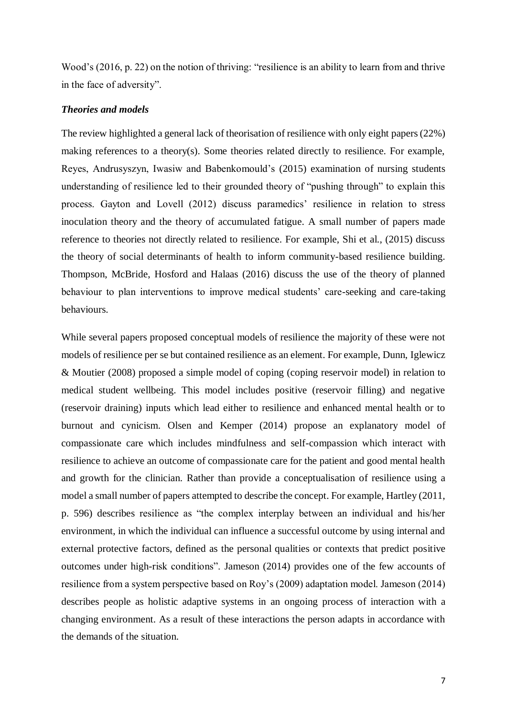Wood's (2016, p. 22) on the notion of thriving: "resilience is an ability to learn from and thrive in the face of adversity".

## *Theories and models*

The review highlighted a general lack of theorisation of resilience with only eight papers (22%) making references to a theory(s). Some theories related directly to resilience. For example, Reyes, Andrusyszyn, Iwasiw and Babenkomould's (2015) examination of nursing students understanding of resilience led to their grounded theory of "pushing through" to explain this process. Gayton and Lovell (2012) discuss paramedics' resilience in relation to stress inoculation theory and the theory of accumulated fatigue. A small number of papers made reference to theories not directly related to resilience. For example, Shi et al., (2015) discuss the theory of social determinants of health to inform community-based resilience building. Thompson, McBride, Hosford and Halaas (2016) discuss the use of the theory of planned behaviour to plan interventions to improve medical students' care-seeking and care-taking behaviours.

While several papers proposed conceptual models of resilience the majority of these were not models of resilience per se but contained resilience as an element. For example, Dunn, Iglewicz & Moutier (2008) proposed a simple model of coping (coping reservoir model) in relation to medical student wellbeing. This model includes positive (reservoir filling) and negative (reservoir draining) inputs which lead either to resilience and enhanced mental health or to burnout and cynicism. Olsen and Kemper (2014) propose an explanatory model of compassionate care which includes mindfulness and self-compassion which interact with resilience to achieve an outcome of compassionate care for the patient and good mental health and growth for the clinician. Rather than provide a conceptualisation of resilience using a model a small number of papers attempted to describe the concept. For example, Hartley (2011, p. 596) describes resilience as "the complex interplay between an individual and his/her environment, in which the individual can influence a successful outcome by using internal and external protective factors, defined as the personal qualities or contexts that predict positive outcomes under high-risk conditions". Jameson (2014) provides one of the few accounts of resilience from a system perspective based on Roy's (2009) adaptation model. Jameson (2014) describes people as holistic adaptive systems in an ongoing process of interaction with a changing environment. As a result of these interactions the person adapts in accordance with the demands of the situation.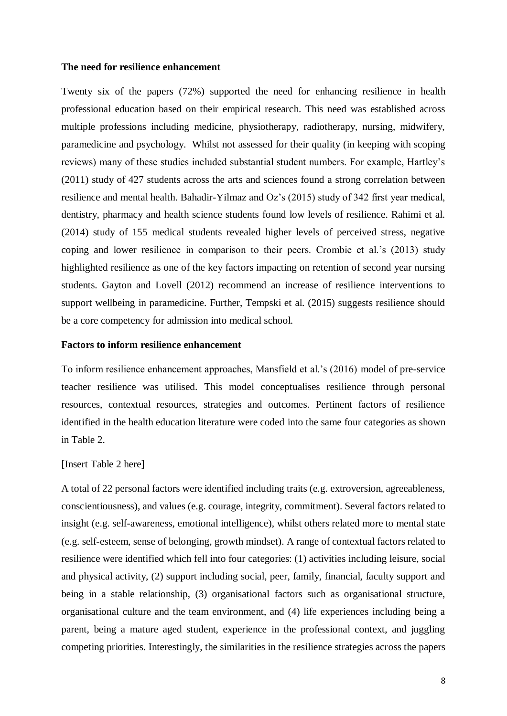## **The need for resilience enhancement**

Twenty six of the papers (72%) supported the need for enhancing resilience in health professional education based on their empirical research. This need was established across multiple professions including medicine, physiotherapy, radiotherapy, nursing, midwifery, paramedicine and psychology. Whilst not assessed for their quality (in keeping with scoping reviews) many of these studies included substantial student numbers. For example, Hartley's (2011) study of 427 students across the arts and sciences found a strong correlation between resilience and mental health. Bahadir-Yilmaz and Oz's (2015) study of 342 first year medical, dentistry, pharmacy and health science students found low levels of resilience. Rahimi et al. (2014) study of 155 medical students revealed higher levels of perceived stress, negative coping and lower resilience in comparison to their peers. Crombie et al.'s (2013) study highlighted resilience as one of the key factors impacting on retention of second year nursing students. Gayton and Lovell (2012) recommend an increase of resilience interventions to support wellbeing in paramedicine. Further, Tempski et al. (2015) suggests resilience should be a core competency for admission into medical school.

## **Factors to inform resilience enhancement**

To inform resilience enhancement approaches, Mansfield et al.'s (2016) model of pre-service teacher resilience was utilised. This model conceptualises resilience through personal resources, contextual resources, strategies and outcomes. Pertinent factors of resilience identified in the health education literature were coded into the same four categories as shown in Table 2.

## [Insert Table 2 here]

A total of 22 personal factors were identified including traits (e.g. extroversion, agreeableness, conscientiousness), and values (e.g. courage, integrity, commitment). Several factors related to insight (e.g. self-awareness, emotional intelligence), whilst others related more to mental state (e.g. self-esteem, sense of belonging, growth mindset). A range of contextual factors related to resilience were identified which fell into four categories: (1) activities including leisure, social and physical activity, (2) support including social, peer, family, financial, faculty support and being in a stable relationship, (3) organisational factors such as organisational structure, organisational culture and the team environment, and (4) life experiences including being a parent, being a mature aged student, experience in the professional context, and juggling competing priorities. Interestingly, the similarities in the resilience strategies across the papers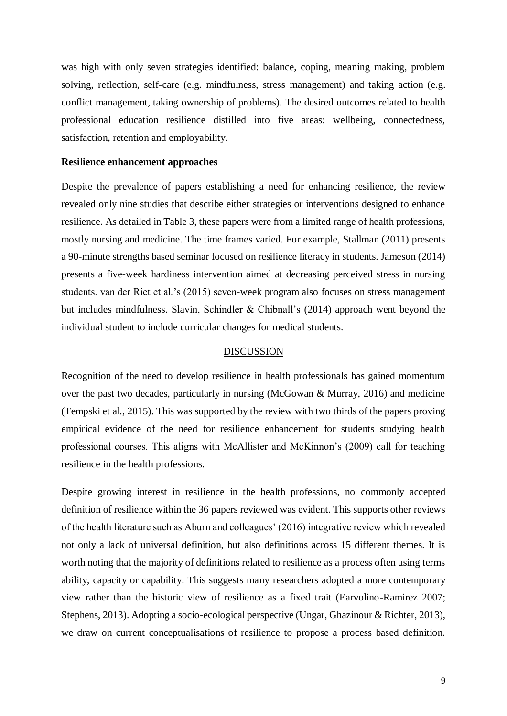was high with only seven strategies identified: balance, coping, meaning making, problem solving, reflection, self-care (e.g. mindfulness, stress management) and taking action (e.g. conflict management, taking ownership of problems). The desired outcomes related to health professional education resilience distilled into five areas: wellbeing, connectedness, satisfaction, retention and employability.

## **Resilience enhancement approaches**

Despite the prevalence of papers establishing a need for enhancing resilience, the review revealed only nine studies that describe either strategies or interventions designed to enhance resilience. As detailed in Table 3, these papers were from a limited range of health professions, mostly nursing and medicine. The time frames varied. For example, Stallman (2011) presents a 90-minute strengths based seminar focused on resilience literacy in students. Jameson (2014) presents a five-week hardiness intervention aimed at decreasing perceived stress in nursing students. van der Riet et al.'s (2015) seven-week program also focuses on stress management but includes mindfulness. Slavin, Schindler & Chibnall's (2014) approach went beyond the individual student to include curricular changes for medical students.

## DISCUSSION

Recognition of the need to develop resilience in health professionals has gained momentum over the past two decades, particularly in nursing (McGowan & Murray, 2016) and medicine (Tempski et al., 2015). This was supported by the review with two thirds of the papers proving empirical evidence of the need for resilience enhancement for students studying health professional courses. This aligns with McAllister and McKinnon's (2009) call for teaching resilience in the health professions.

Despite growing interest in resilience in the health professions, no commonly accepted definition of resilience within the 36 papers reviewed was evident. This supports other reviews of the health literature such as Aburn and colleagues' (2016) integrative review which revealed not only a lack of universal definition, but also definitions across 15 different themes. It is worth noting that the majority of definitions related to resilience as a process often using terms ability, capacity or capability. This suggests many researchers adopted a more contemporary view rather than the historic view of resilience as a fixed trait (Earvolino-Ramirez 2007; Stephens, 2013). Adopting a socio-ecological perspective (Ungar, Ghazinour & Richter, 2013), we draw on current conceptualisations of resilience to propose a process based definition.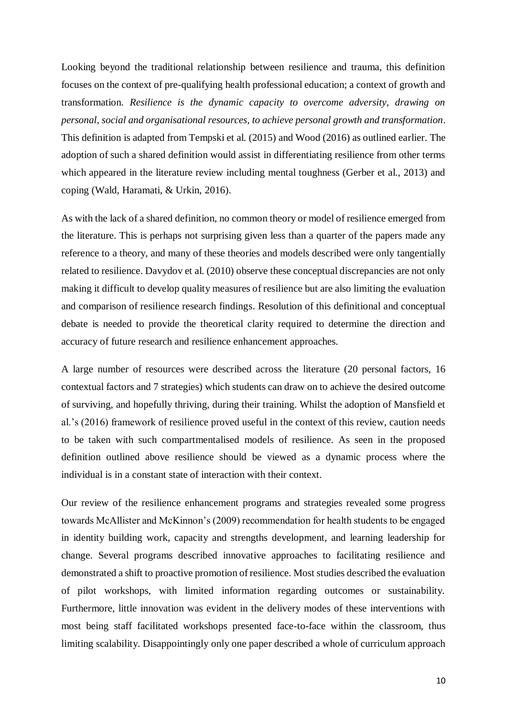Looking beyond the traditional relationship between resilience and trauma, this definition focuses on the context of pre-qualifying health professional education; a context of growth and transformation. *Resilience is the dynamic capacity to overcome adversity, drawing on personal, social and organisational resources, to achieve personal growth and transformation*. This definition is adapted from Tempski et al. (2015) and Wood (2016) as outlined earlier. The adoption of such a shared definition would assist in differentiating resilience from other terms which appeared in the literature review including mental toughness (Gerber et al., 2013) and coping (Wald, Haramati, & Urkin, 2016).

As with the lack of a shared definition, no common theory or model of resilience emerged from the literature. This is perhaps not surprising given less than a quarter of the papers made any reference to a theory, and many of these theories and models described were only tangentially related to resilience. Davydov et al. (2010) observe these conceptual discrepancies are not only making it difficult to develop quality measures of resilience but are also limiting the evaluation and comparison of resilience research findings. Resolution of this definitional and conceptual debate is needed to provide the theoretical clarity required to determine the direction and accuracy of future research and resilience enhancement approaches.

A large number of resources were described across the literature (20 personal factors, 16 contextual factors and 7 strategies) which students can draw on to achieve the desired outcome of surviving, and hopefully thriving, during their training. Whilst the adoption of Mansfield et al.'s (2016) framework of resilience proved useful in the context of this review, caution needs to be taken with such compartmentalised models of resilience. As seen in the proposed definition outlined above resilience should be viewed as a dynamic process where the individual is in a constant state of interaction with their context.

Our review of the resilience enhancement programs and strategies revealed some progress towards McAllister and McKinnon's (2009) recommendation for health students to be engaged in identity building work, capacity and strengths development, and learning leadership for change. Several programs described innovative approaches to facilitating resilience and demonstrated a shift to proactive promotion of resilience. Most studies described the evaluation of pilot workshops, with limited information regarding outcomes or sustainability. Furthermore, little innovation was evident in the delivery modes of these interventions with most being staff facilitated workshops presented face-to-face within the classroom, thus limiting scalability. Disappointingly only one paper described a whole of curriculum approach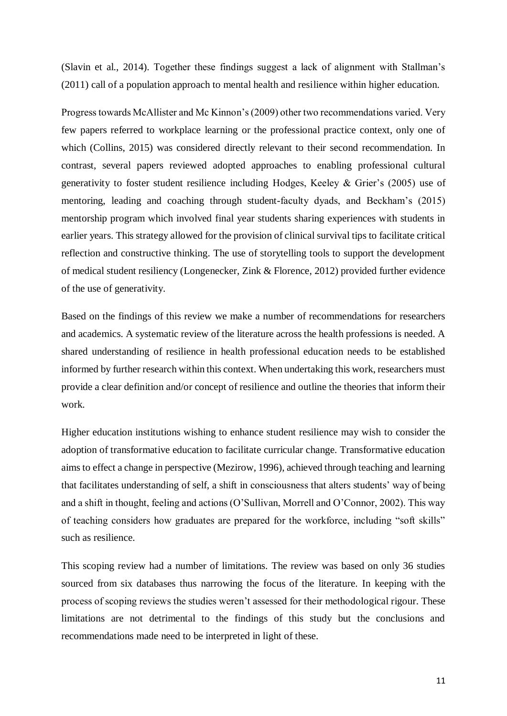(Slavin et al., 2014). Together these findings suggest a lack of alignment with Stallman's (2011) call of a population approach to mental health and resilience within higher education.

Progress towards McAllister and Mc Kinnon's (2009) other two recommendations varied. Very few papers referred to workplace learning or the professional practice context, only one of which (Collins, 2015) was considered directly relevant to their second recommendation. In contrast, several papers reviewed adopted approaches to enabling professional cultural generativity to foster student resilience including Hodges, Keeley & Grier's (2005) use of mentoring, leading and coaching through student-faculty dyads, and Beckham's (2015) mentorship program which involved final year students sharing experiences with students in earlier years. This strategy allowed for the provision of clinical survival tips to facilitate critical reflection and constructive thinking. The use of storytelling tools to support the development of medical student resiliency (Longenecker, Zink & Florence, 2012) provided further evidence of the use of generativity.

Based on the findings of this review we make a number of recommendations for researchers and academics. A systematic review of the literature across the health professions is needed. A shared understanding of resilience in health professional education needs to be established informed by further research within this context. When undertaking this work, researchers must provide a clear definition and/or concept of resilience and outline the theories that inform their work.

Higher education institutions wishing to enhance student resilience may wish to consider the adoption of transformative education to facilitate curricular change. Transformative education aims to effect a change in perspective (Mezirow, 1996), achieved through teaching and learning that facilitates understanding of self, a shift in consciousness that alters students' way of being and a shift in thought, feeling and actions (O'Sullivan, Morrell and O'Connor, 2002). This way of teaching considers how graduates are prepared for the workforce, including "soft skills" such as resilience.

This scoping review had a number of limitations. The review was based on only 36 studies sourced from six databases thus narrowing the focus of the literature. In keeping with the process of scoping reviews the studies weren't assessed for their methodological rigour. These limitations are not detrimental to the findings of this study but the conclusions and recommendations made need to be interpreted in light of these.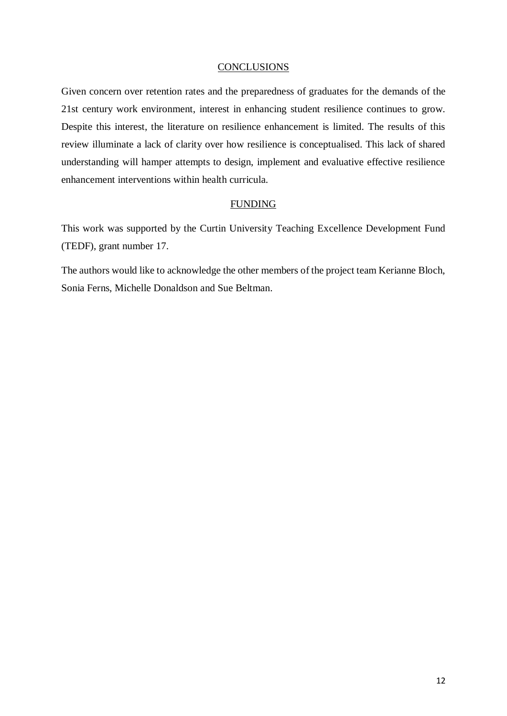## **CONCLUSIONS**

Given concern over retention rates and the preparedness of graduates for the demands of the 21st century work environment, interest in enhancing student resilience continues to grow. Despite this interest, the literature on resilience enhancement is limited. The results of this review illuminate a lack of clarity over how resilience is conceptualised. This lack of shared understanding will hamper attempts to design, implement and evaluative effective resilience enhancement interventions within health curricula.

## FUNDING

This work was supported by the Curtin University Teaching Excellence Development Fund (TEDF), grant number 17.

The authors would like to acknowledge the other members of the project team Kerianne Bloch, Sonia Ferns, Michelle Donaldson and Sue Beltman.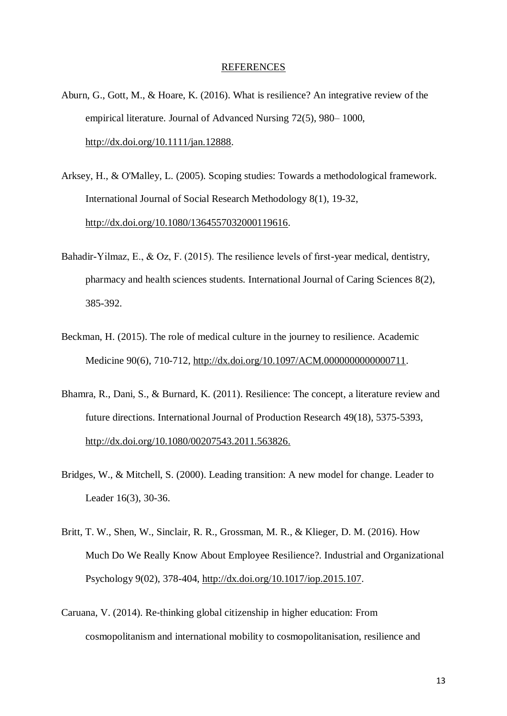#### REFERENCES

- Aburn, G., Gott, M., & Hoare, K. (2016). What is resilience? An integrative review of the empirical literature. Journal of Advanced Nursing 72(5), 980– 1000, [http://dx.doi.org/10.1111/jan.12888.](http://dx.doi.org/10.1111/jan.12888)
- Arksey, H., & O'Malley, L. (2005). Scoping studies: Towards a methodological framework. International Journal of Social Research Methodology 8(1), 19-32, [http://dx.doi.org/10.1080/1364557032000119616.](http://dx.doi.org/10.1080/1364557032000119616)
- Bahadir-Yilmaz, E., & Oz, F. (2015). The resilience levels of first-year medical, dentistry, pharmacy and health sciences students. International Journal of Caring Sciences 8(2), 385-392.
- Beckman, H. (2015). The role of medical culture in the journey to resilience. Academic Medicine 90(6), 710-712, [http://dx.doi.org/10.1097/ACM.0000000000000711.](http://dx.doi.org/10.1097/ACM.0000000000000711)
- Bhamra, R., Dani, S., & Burnard, K. (2011). Resilience: The concept, a literature review and future directions. International Journal of Production Research 49(18), 5375-5393, [http://dx.doi.org/10.1080/00207543.2011.563826.](http://dx.doi.org/10.1080/00207543.2011.563826)
- Bridges, W., & Mitchell, S. (2000). Leading transition: A new model for change. Leader to Leader 16(3), 30-36.
- Britt, T. W., Shen, W., Sinclair, R. R., Grossman, M. R., & Klieger, D. M. (2016). How Much Do We Really Know About Employee Resilience?. Industrial and Organizational Psychology 9(02), 378-404, [http://dx.doi.org/10.1017/iop.2015.107.](http://dx.doi.org/10.1017/iop.2015.107)
- Caruana, V. (2014). Re‐thinking global citizenship in higher education: From cosmopolitanism and international mobility to cosmopolitanisation, resilience and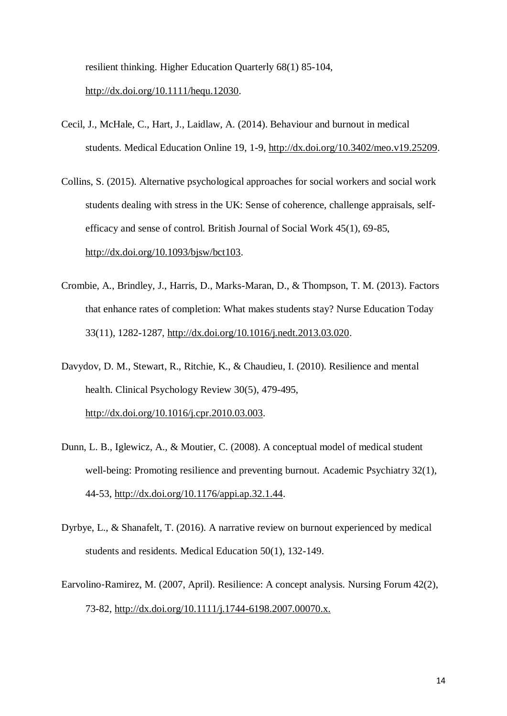resilient thinking. Higher Education Quarterly 68(1) 85-104,

[http://dx.doi.org/10.1111/hequ.12030.](http://dx.doi.org/10.1111/hequ.12030)

- Cecil, J., McHale, C., Hart, J., Laidlaw, A. (2014). Behaviour and burnout in medical students. Medical Education Online 19, 1-9, [http://dx.doi.org/10.3402/meo.v19.25209.](http://dx.doi.org/10.3402/meo.v19.25209)
- Collins, S. (2015). Alternative psychological approaches for social workers and social work students dealing with stress in the UK: Sense of coherence, challenge appraisals, selfefficacy and sense of control. British Journal of Social Work 45(1), 69-85, [http://dx.doi.org/10.1093/bjsw/bct103.](http://dx.doi.org/10.1093/bjsw/bct103)
- Crombie, A., Brindley, J., Harris, D., Marks-Maran, D., & Thompson, T. M. (2013). Factors that enhance rates of completion: What makes students stay? Nurse Education Today 33(11), 1282-1287, [http://dx.doi.org/10.1016/j.nedt.2013.03.020.](http://dx.doi.org/10.1016/j.nedt.2013.03.020)
- Davydov, D. M., Stewart, R., Ritchie, K., & Chaudieu, I. (2010). Resilience and mental health. Clinical Psychology Review 30(5), 479-495, [http://dx.doi.org/10.1016/j.cpr.2010.03.003.](http://dx.doi.org/10.1016/j.cpr.2010.03.003)
- Dunn, L. B., Iglewicz, A., & Moutier, C. (2008). A conceptual model of medical student well-being: Promoting resilience and preventing burnout. Academic Psychiatry 32(1), 44-53, [http://dx.doi.org/10.1176/appi.ap.32.1.44.](http://dx.doi.org/10.1176/appi.ap.32.1.44)
- Dyrbye, L., & Shanafelt, T. (2016). A narrative review on burnout experienced by medical students and residents. Medical Education 50(1), 132-149.
- Earvolino‐Ramirez, M. (2007, April). Resilience: A concept analysis. Nursing Forum 42(2), 73-82, [http://dx.doi.org/10.1111/j.1744-6198.2007.00070.x.](http://dx.doi.org/10.1111/j.1744-6198.2007.00070.x)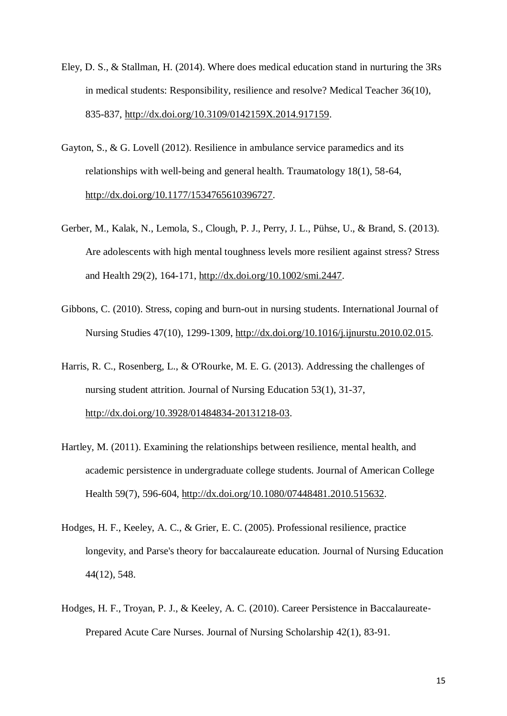- Eley, D. S., & Stallman, H. (2014). Where does medical education stand in nurturing the 3Rs in medical students: Responsibility, resilience and resolve? Medical Teacher 36(10), 835-837, [http://dx.doi.org/10.3109/0142159X.2014.917159.](http://dx.doi.org/10.3109/0142159X.2014.917159)
- Gayton, S., & G. Lovell (2012). Resilience in ambulance service paramedics and its relationships with well-being and general health. Traumatology 18(1), 58-64, [http://dx.doi.org/10.1177/1534765610396727.](http://dx.doi.org/10.1177/1534765610396727)
- Gerber, M., Kalak, N., Lemola, S., Clough, P. J., Perry, J. L., Pühse, U., & Brand, S. (2013). Are adolescents with high mental toughness levels more resilient against stress? Stress and Health 29(2), 164-171, [http://dx.doi.org/10.1002/smi.2447.](http://dx.doi.org/10.1002/smi.2447)
- Gibbons, C. (2010). Stress, coping and burn-out in nursing students. International Journal of Nursing Studies 47(10), 1299-1309, [http://dx.doi.org/10.1016/j.ijnurstu.2010.02.015.](http://dx.doi.org/10.1016/j.ijnurstu.2010.02.015)

Harris, R. C., Rosenberg, L., & O'Rourke, M. E. G. (2013). Addressing the challenges of nursing student attrition. Journal of Nursing Education 53(1), 31-37, [http://dx.doi.org/10.3928/01484834-20131218-03.](http://dx.doi.org/10.3928/01484834-20131218-03)

- Hartley, M. (2011). Examining the relationships between resilience, mental health, and academic persistence in undergraduate college students. Journal of American College Health 59(7), 596-604, [http://dx.doi.org/10.1080/07448481.2010.515632.](http://dx.doi.org/10.1080/07448481.2010.515632)
- Hodges, H. F., Keeley, A. C., & Grier, E. C. (2005). Professional resilience, practice longevity, and Parse's theory for baccalaureate education. Journal of Nursing Education 44(12), 548.
- Hodges, H. F., Troyan, P. J., & Keeley, A. C. (2010). Career Persistence in Baccalaureate‐ Prepared Acute Care Nurses. Journal of Nursing Scholarship 42(1), 83-91.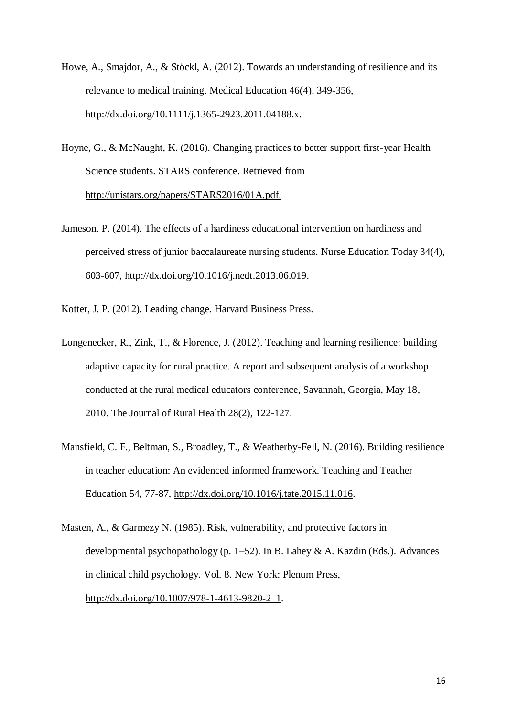- Howe, A., Smajdor, A., & Stöckl, A. (2012). Towards an understanding of resilience and its relevance to medical training. Medical Education 46(4), 349-356, [http://dx.doi.org/10.1111/j.1365-2923.2011.04188.x.](http://dx.doi.org/10.1111/j.1365-2923.2011.04188.x)
- Hoyne, G., & McNaught, K. (2016). Changing practices to better support first-year Health Science students. STARS conference. Retrieved from [http://unistars.org/papers/STARS2016/01A.pdf.](http://unistars.org/papers/STARS2016/01A.pdf)
- Jameson, P. (2014). The effects of a hardiness educational intervention on hardiness and perceived stress of junior baccalaureate nursing students. Nurse Education Today 34(4), 603-607, [http://dx.doi.org/10.1016/j.nedt.2013.06.019.](http://dx.doi.org/10.1016/j.nedt.2013.06.019)
- Kotter, J. P. (2012). Leading change. Harvard Business Press.
- Longenecker, R., Zink, T., & Florence, J. (2012). Teaching and learning resilience: building adaptive capacity for rural practice. A report and subsequent analysis of a workshop conducted at the rural medical educators conference, Savannah, Georgia, May 18, 2010. The Journal of Rural Health 28(2), 122-127.
- Mansfield, C. F., Beltman, S., Broadley, T., & Weatherby-Fell, N. (2016). Building resilience in teacher education: An evidenced informed framework. Teaching and Teacher Education 54, 77-87, [http://dx.doi.org/10.1016/j.tate.2015.11.016.](http://dx.doi.org/10.1016/j.tate.2015.11.016)
- Masten, A., & Garmezy N. (1985). Risk, vulnerability, and protective factors in developmental psychopathology (p. 1–52). In B. Lahey & A. Kazdin (Eds.). Advances in clinical child psychology. Vol. 8. New York: Plenum Press, [http://dx.doi.org/10.1007/978-1-4613-9820-2\\_1.](http://dx.doi.org/10.1007/978-1-4613-9820-2_1)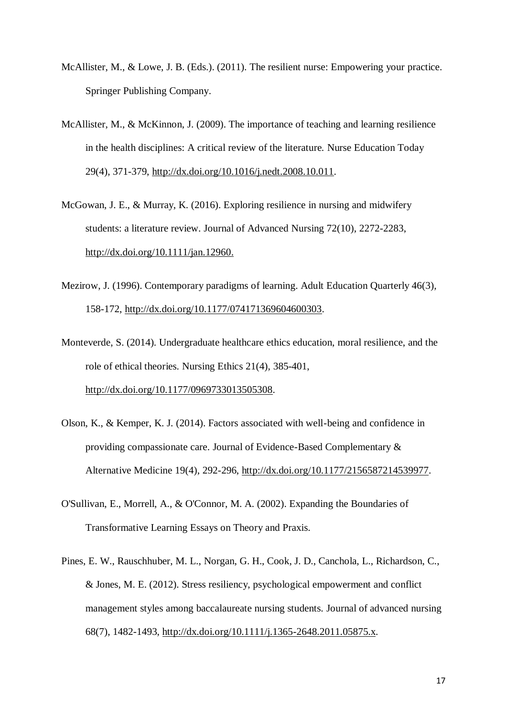- McAllister, M., & Lowe, J. B. (Eds.). (2011). The resilient nurse: Empowering your practice. Springer Publishing Company.
- McAllister, M., & McKinnon, J. (2009). The importance of teaching and learning resilience in the health disciplines: A critical review of the literature. Nurse Education Today 29(4), 371-379, [http://dx.doi.org/10.1016/j.nedt.2008.10.011.](http://dx.doi.org/10.1016/j.nedt.2008.10.011)
- McGowan, J. E., & Murray, K. (2016). Exploring resilience in nursing and midwifery students: a literature review. Journal of Advanced Nursing 72(10), 2272-2283, [http://dx.doi.org/10.1111/jan.12960.](http://dx.doi.org/10.1111/jan.12960)
- Mezirow, J. (1996). Contemporary paradigms of learning. Adult Education Quarterly 46(3), 158-172, [http://dx.doi.org/10.1177/074171369604600303.](http://dx.doi.org/10.1177/074171369604600303)
- Monteverde, S. (2014). Undergraduate healthcare ethics education, moral resilience, and the role of ethical theories. Nursing Ethics 21(4), 385-401, [http://dx.doi.org/10.1177/0969733013505308.](http://dx.doi.org/10.1177/0969733013505308)
- Olson, K., & Kemper, K. J. (2014). Factors associated with well-being and confidence in providing compassionate care. Journal of Evidence-Based Complementary & Alternative Medicine 19(4), 292-296, [http://dx.doi.org/10.1177/2156587214539977.](http://dx.doi.org/10.1177/2156587214539977)
- O'Sullivan, E., Morrell, A., & O'Connor, M. A. (2002). Expanding the Boundaries of Transformative Learning Essays on Theory and Praxis.
- Pines, E. W., Rauschhuber, M. L., Norgan, G. H., Cook, J. D., Canchola, L., Richardson, C., & Jones, M. E. (2012). Stress resiliency, psychological empowerment and conflict management styles among baccalaureate nursing students. Journal of advanced nursing 68(7), 1482-1493, [http://dx.doi.org/10.1111/j.1365-2648.2011.05875.x.](http://dx.doi.org/10.1111/j.1365-2648.2011.05875.x)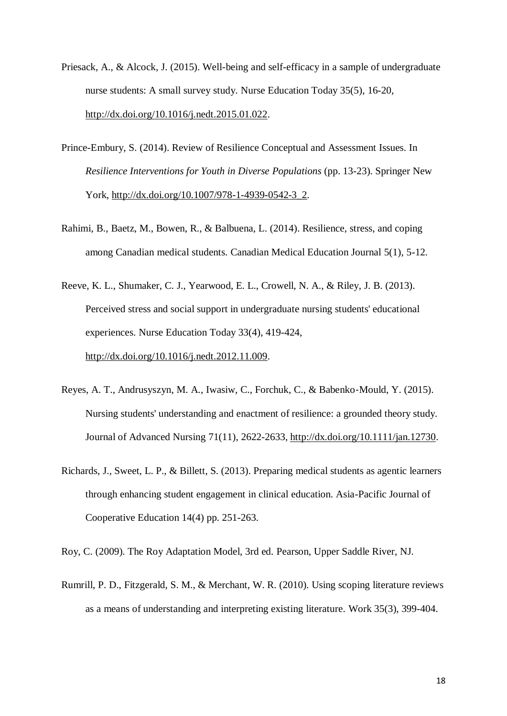- Priesack, A., & Alcock, J. (2015). Well-being and self-efficacy in a sample of undergraduate nurse students: A small survey study. Nurse Education Today 35(5), 16-20, [http://dx.doi.org/10.1016/j.nedt.2015.01.022.](http://dx.doi.org/10.1016/j.nedt.2015.01.022)
- Prince-Embury, S. (2014). Review of Resilience Conceptual and Assessment Issues. In *Resilience Interventions for Youth in Diverse Populations* (pp. 13-23). Springer New York, [http://dx.doi.org/10.1007/978-1-4939-0542-3\\_2.](http://dx.doi.org/10.1007/978-1-4939-0542-3_2)
- Rahimi, B., Baetz, M., Bowen, R., & Balbuena, L. (2014). Resilience, stress, and coping among Canadian medical students. Canadian Medical Education Journal 5(1), 5-12.
- Reeve, K. L., Shumaker, C. J., Yearwood, E. L., Crowell, N. A., & Riley, J. B. (2013). Perceived stress and social support in undergraduate nursing students' educational experiences. Nurse Education Today 33(4), 419-424, [http://dx.doi.org/10.1016/j.nedt.2012.11.009.](http://dx.doi.org/10.1016/j.nedt.2012.11.009)
- Reyes, A. T., Andrusyszyn, M. A., Iwasiw, C., Forchuk, C., & Babenko‐Mould, Y. (2015). Nursing students' understanding and enactment of resilience: a grounded theory study. Journal of Advanced Nursing 71(11), 2622-2633, [http://dx.doi.org/10.1111/jan.12730.](http://dx.doi.org/10.1111/jan.12730)
- Richards, J., Sweet, L. P., & Billett, S. (2013). Preparing medical students as agentic learners through enhancing student engagement in clinical education. Asia-Pacific Journal of Cooperative Education 14(4) pp. 251-263.

Roy, C. (2009). The Roy Adaptation Model, 3rd ed. Pearson, Upper Saddle River, NJ.

Rumrill, P. D., Fitzgerald, S. M., & Merchant, W. R. (2010). Using scoping literature reviews as a means of understanding and interpreting existing literature. Work 35(3), 399-404.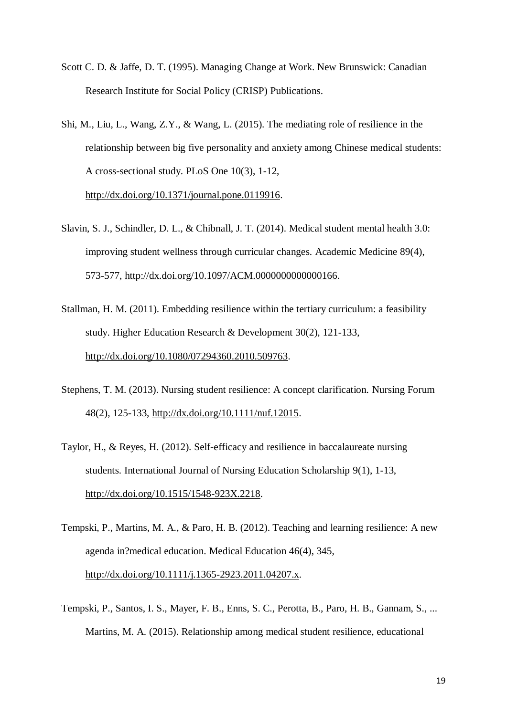- Scott C. D. & Jaffe, D. T. (1995). Managing Change at Work. New Brunswick: Canadian Research Institute for Social Policy (CRISP) Publications.
- Shi, M., Liu, L., Wang, Z.Y., & Wang, L. (2015). The mediating role of resilience in the relationship between big five personality and anxiety among Chinese medical students: A cross-sectional study. PLoS One 10(3), 1-12, [http://dx.doi.org/10.1371/journal.pone.0119916.](http://dx.doi.org/10.1371/journal.pone.0119916)
- Slavin, S. J., Schindler, D. L., & Chibnall, J. T. (2014). Medical student mental health 3.0: improving student wellness through curricular changes. Academic Medicine 89(4), 573-577, [http://dx.doi.org/10.1097/ACM.0000000000000166.](http://dx.doi.org/10.1097/ACM.0000000000000166)
- Stallman, H. M. (2011). Embedding resilience within the tertiary curriculum: a feasibility study. Higher Education Research & Development 30(2), 121-133, [http://dx.doi.org/10.1080/07294360.2010.509763.](http://dx.doi.org/10.1080/07294360.2010.509763)
- Stephens, T. M. (2013). Nursing student resilience: A concept clarification. Nursing Forum 48(2), 125-133, [http://dx.doi.org/10.1111/nuf.12015.](http://dx.doi.org/10.1111/nuf.12015)
- Taylor, H., & Reyes, H. (2012). Self-efficacy and resilience in baccalaureate nursing students. International Journal of Nursing Education Scholarship 9(1), 1-13, [http://dx.doi.org/10.1515/1548-923X.2218.](http://dx.doi.org/10.1515/1548-923X.2218)
- Tempski, P., Martins, M. A., & Paro, H. B. (2012). Teaching and learning resilience: A new agenda in?medical education. Medical Education 46(4), 345, [http://dx.doi.org/10.1111/j.1365-2923.2011.04207.x.](http://dx.doi.org/10.1111/j.1365-2923.2011.04207.x)
- Tempski, P., Santos, I. S., Mayer, F. B., Enns, S. C., Perotta, B., Paro, H. B., Gannam, S., ... Martins, M. A. (2015). Relationship among medical student resilience, educational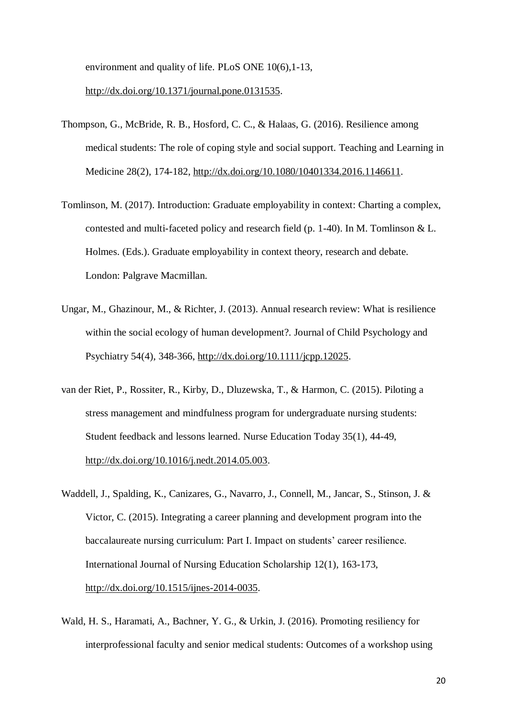environment and quality of life. PLoS ONE 10(6),1-13,

### [http://dx.doi.org/10.1371/journal.pone.0131535.](http://dx.doi.org/10.1371/journal.pone.0131535)

- Thompson, G., McBride, R. B., Hosford, C. C., & Halaas, G. (2016). Resilience among medical students: The role of coping style and social support. Teaching and Learning in Medicine 28(2), 174-182, [http://dx.doi.org/10.1080/10401334.2016.1146611.](http://dx.doi.org/10.1080/10401334.2016.1146611)
- Tomlinson, M. (2017). Introduction: Graduate employability in context: Charting a complex, contested and multi-faceted policy and research field (p. 1-40). In M. Tomlinson & L. Holmes. (Eds.). Graduate employability in context theory, research and debate. London: Palgrave Macmillan.
- Ungar, M., Ghazinour, M., & Richter, J. (2013). Annual research review: What is resilience within the social ecology of human development?. Journal of Child Psychology and Psychiatry 54(4), 348-366, [http://dx.doi.org/10.1111/jcpp.12025.](http://dx.doi.org/10.1111/jcpp.12025)
- van der Riet, P., Rossiter, R., Kirby, D., Dluzewska, T., & Harmon, C. (2015). Piloting a stress management and mindfulness program for undergraduate nursing students: Student feedback and lessons learned. Nurse Education Today 35(1), 44-49, [http://dx.doi.org/10.1016/j.nedt.2014.05.003.](http://dx.doi.org/10.1016/j.nedt.2014.05.003)
- Waddell, J., Spalding, K., Canizares, G., Navarro, J., Connell, M., Jancar, S., Stinson, J. & Victor, C. (2015). Integrating a career planning and development program into the baccalaureate nursing curriculum: Part I. Impact on students' career resilience. International Journal of Nursing Education Scholarship 12(1), 163-173, [http://dx.doi.org/10.1515/ijnes-2014-0035.](http://dx.doi.org/10.1515/ijnes-2014-0035)
- Wald, H. S., Haramati, A., Bachner, Y. G., & Urkin, J. (2016). Promoting resiliency for interprofessional faculty and senior medical students: Outcomes of a workshop using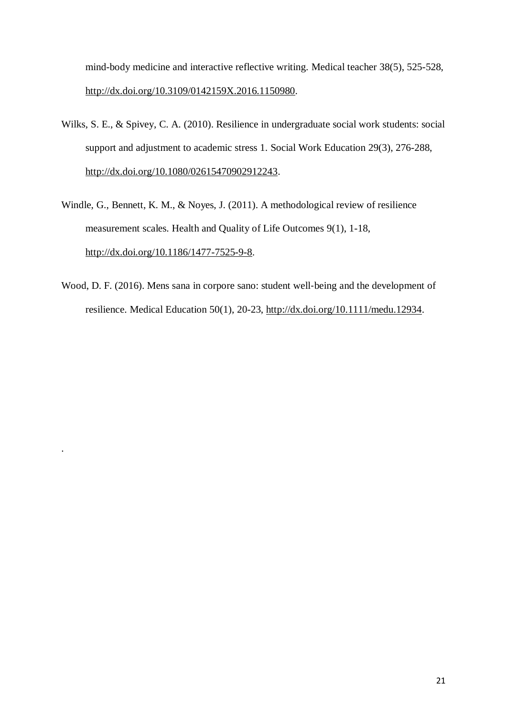mind-body medicine and interactive reflective writing. Medical teacher 38(5), 525-528, [http://dx.doi.org/10.3109/0142159X.2016.1150980.](http://dx.doi.org/10.3109/0142159X.2016.1150980)

- Wilks, S. E., & Spivey, C. A. (2010). Resilience in undergraduate social work students: social support and adjustment to academic stress 1. Social Work Education 29(3), 276-288, [http://dx.doi.org/10.1080/02615470902912243.](http://dx.doi.org/10.1080/02615470902912243)
- Windle, G., Bennett, K. M., & Noyes, J. (2011). A methodological review of resilience measurement scales. Health and Quality of Life Outcomes 9(1), 1-18, [http://dx.doi.org/10.1186/1477-7525-9-8.](http://dx.doi.org/10.1186/1477-7525-9-8)
- Wood, D. F. (2016). Mens sana in corpore sano: student well-being and the development of resilience. Medical Education 50(1), 20-23, [http://dx.doi.org/10.1111/medu.12934.](http://dx.doi.org/10.1111/medu.12934)

.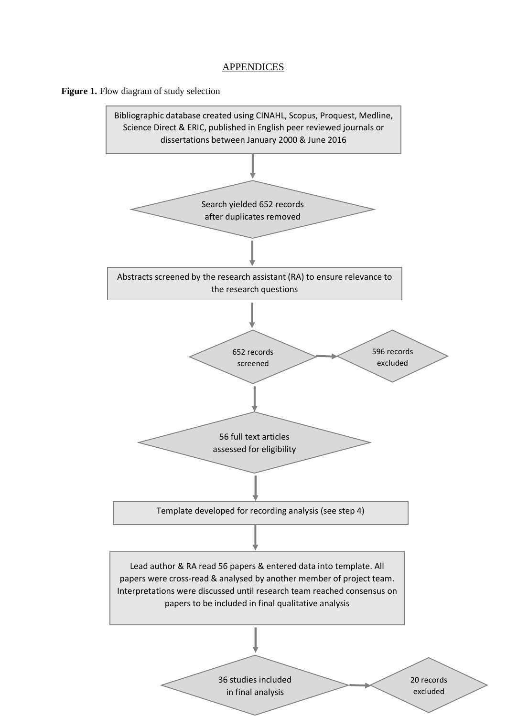## **APPENDICES**



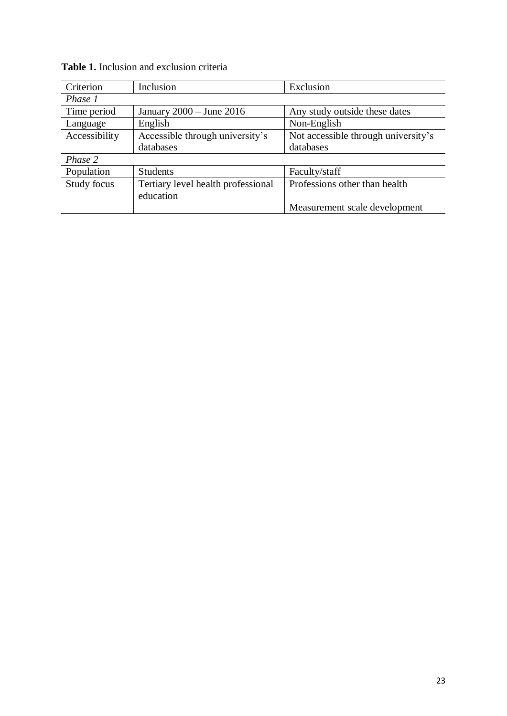| Criterion     | Inclusion                          | Exclusion                           |  |  |  |
|---------------|------------------------------------|-------------------------------------|--|--|--|
| Phase 1       |                                    |                                     |  |  |  |
| Time period   | January $2000 -$ June $2016$       | Any study outside these dates       |  |  |  |
| Language      | English                            | Non-English                         |  |  |  |
| Accessibility | Accessible through university's    | Not accessible through university's |  |  |  |
|               | databases                          | databases                           |  |  |  |
| Phase 2       |                                    |                                     |  |  |  |
| Population    | <b>Students</b>                    | Faculty/staff                       |  |  |  |
| Study focus   | Tertiary level health professional | Professions other than health       |  |  |  |
|               | education                          |                                     |  |  |  |
|               |                                    | Measurement scale development       |  |  |  |

|  |  |  | <b>Table 1.</b> Inclusion and exclusion criteria |  |
|--|--|--|--------------------------------------------------|--|
|--|--|--|--------------------------------------------------|--|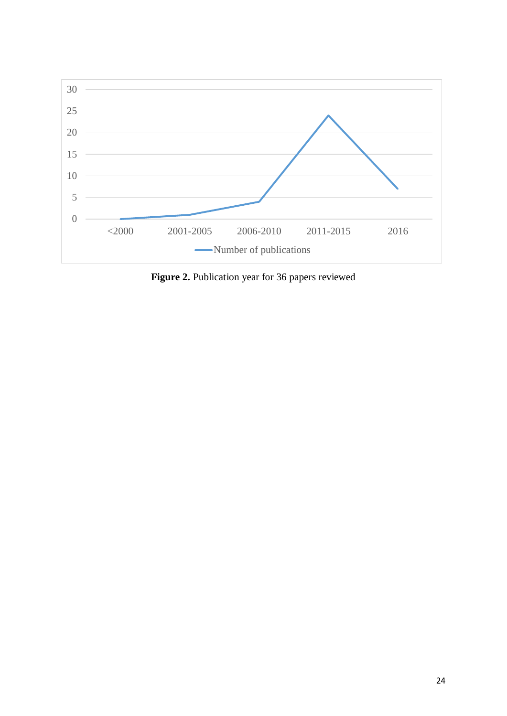

**Figure 2.** Publication year for 36 papers reviewed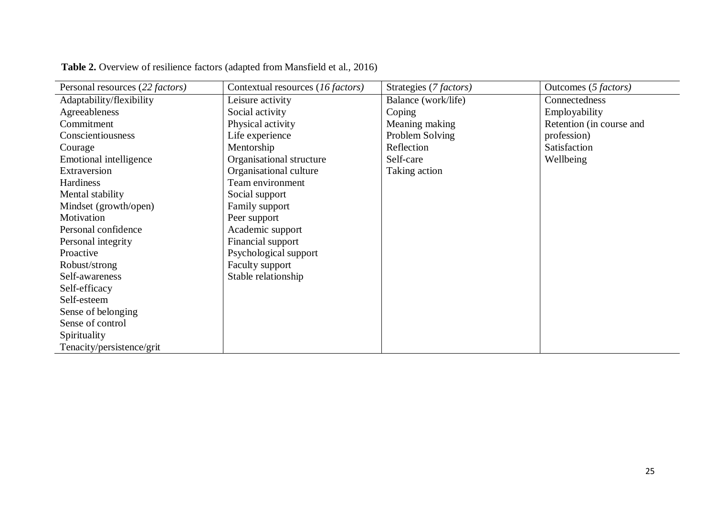| Personal resources (22 factors) | Contextual resources (16 factors) | Strategies (7 factors) | Outcomes (5 factors)     |
|---------------------------------|-----------------------------------|------------------------|--------------------------|
| Adaptability/flexibility        | Leisure activity                  | Balance (work/life)    | Connectedness            |
| Agreeableness                   | Social activity                   | Coping                 | Employability            |
| Commitment                      | Physical activity                 | Meaning making         | Retention (in course and |
| Conscientiousness               | Life experience                   | Problem Solving        | profession)              |
| Courage                         | Mentorship                        | Reflection             | Satisfaction             |
| Emotional intelligence          | Organisational structure          | Self-care              | Wellbeing                |
| Extraversion                    | Organisational culture            | Taking action          |                          |
| Hardiness                       | Team environment                  |                        |                          |
| Mental stability                | Social support                    |                        |                          |
| Mindset (growth/open)           | Family support                    |                        |                          |
| Motivation                      | Peer support                      |                        |                          |
| Personal confidence             | Academic support                  |                        |                          |
| Personal integrity              | Financial support                 |                        |                          |
| Proactive                       | Psychological support             |                        |                          |
| Robust/strong                   | Faculty support                   |                        |                          |
| Self-awareness                  | Stable relationship               |                        |                          |
| Self-efficacy                   |                                   |                        |                          |
| Self-esteem                     |                                   |                        |                          |
| Sense of belonging              |                                   |                        |                          |
| Sense of control                |                                   |                        |                          |
| Spirituality                    |                                   |                        |                          |
| Tenacity/persistence/grit       |                                   |                        |                          |

**Table 2.** Overview of resilience factors (adapted from Mansfield et al., 2016)